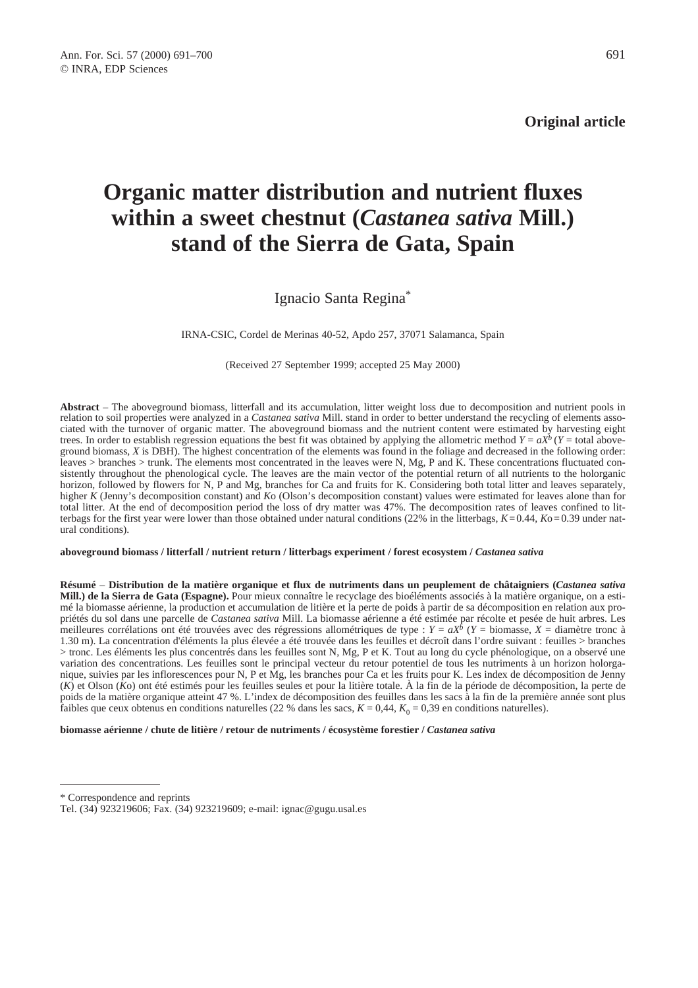**Original article**

# **Organic matter distribution and nutrient fluxes within a sweet chestnut (***Castanea sativa* **Mill.) stand of the Sierra de Gata, Spain**

Ignacio Santa Regina\*

IRNA-CSIC, Cordel de Merinas 40-52, Apdo 257, 37071 Salamanca, Spain

(Received 27 September 1999; accepted 25 May 2000)

**Abstract** – The aboveground biomass, litterfall and its accumulation, litter weight loss due to decomposition and nutrient pools in relation to soil properties were analyzed in a *Castanea sativa* Mill. stand in order to better understand the recycling of elements associated with the turnover of organic matter. The aboveground biomass and the nutrient content were estimated by harvesting eight trees. In order to establish regression equations the best fit was obtained by applying the allometric method  $Y = aX^b$  ( $Y =$  total aboveground biomass, *X* is DBH). The highest concentration of the elements was found in the foliage and decreased in the following order: leaves > branches > trunk. The elements most concentrated in the leaves were N, Mg, P and K. These concentrations fluctuated consistently throughout the phenological cycle. The leaves are the main vector of the potential return of all nutrients to the holorganic horizon, followed by flowers for N, P and Mg, branches for Ca and fruits for K. Considering both total litter and leaves separately, higher *K* (Jenny's decomposition constant) and *K*o (Olson's decomposition constant) values were estimated for leaves alone than for total litter. At the end of decomposition period the loss of dry matter was 47%. The decomposition rates of leaves confined to litterbags for the first year were lower than those obtained under natural conditions (22% in the litterbags,  $K=0.44$ ,  $K=0.39$  under natural conditions).

**aboveground biomass / litterfall / nutrient return / litterbags experiment / forest ecosystem /** *Castanea sativa*

**Résumé** – **Distribution de la matière organique et flux de nutriments dans un peuplement de châtaigniers (***Castanea sativa* **Mill.) de la Sierra de Gata (Espagne).** Pour mieux connaître le recyclage des bioéléments associés à la matière organique, on a estimé la biomasse aérienne, la production et accumulation de litière et la perte de poids à partir de sa décomposition en relation aux propriétés du sol dans une parcelle de *Castanea sativa* Mill. La biomasse aérienne a été estimée par récolte et pesée de huit arbres. Les meilleures corrélations ont été trouvées avec des régressions allométriques de type :  $Y = aX^b$  ( $Y = b$ iomasse,  $X =$  diamètre tronc à 1.30 m). La concentration d'éléments la plus élevée a été trouvée dans les feuilles et décroît dans l'ordre suivant : feuilles > branches > tronc. Les éléments les plus concentrés dans les feuilles sont N, Mg, P et K. Tout au long du cycle phénologique, on a observé une variation des concentrations. Les feuilles sont le principal vecteur du retour potentiel de tous les nutriments à un horizon holorganique, suivies par les inflorescences pour N, P et Mg, les branches pour Ca et les fruits pour K. Les index de décomposition de Jenny (*K*) et Olson (*K*o) ont été estimés pour les feuilles seules et pour la litière totale. À la fin de la période de décomposition, la perte de poids de la matière organique atteint 47 %. L'index de décomposition des feuilles dans les sacs à la fin de la première année sont plus faibles que ceux obtenus en conditions naturelles (22 % dans les sacs,  $K = 0.44$ ,  $K_0 = 0.39$  en conditions naturelles).

**biomasse aérienne / chute de litière / retour de nutriments / écosystème forestier /** *Castanea sativa*

<sup>\*</sup> Correspondence and reprints

Tel. (34) 923219606; Fax. (34) 923219609; e-mail: ignac@gugu.usal.es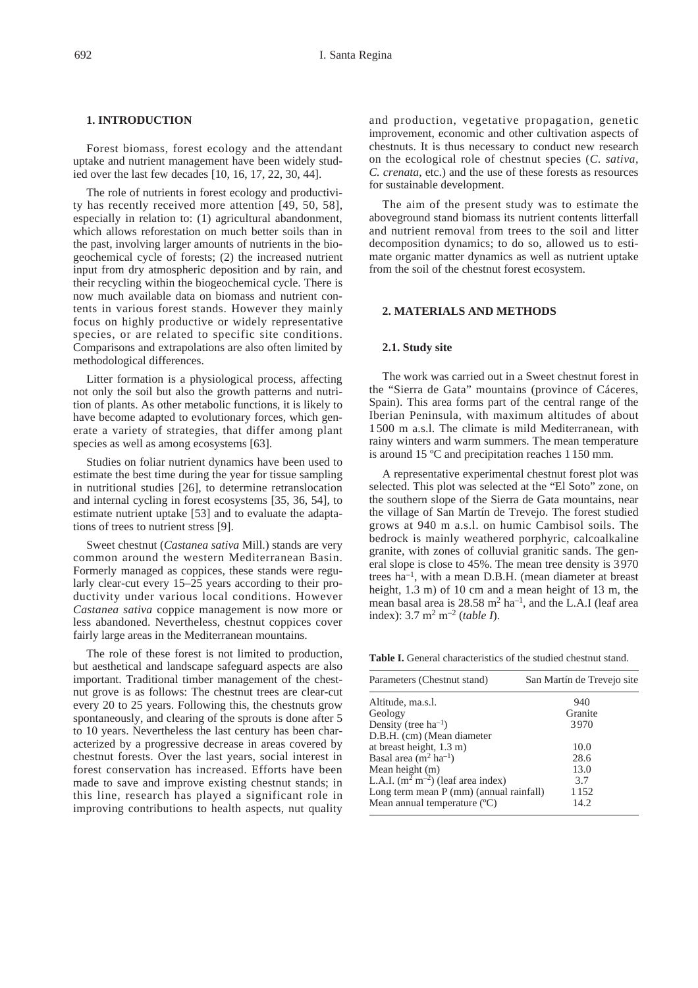## **1. INTRODUCTION**

Forest biomass, forest ecology and the attendant uptake and nutrient management have been widely studied over the last few decades [10, 16, 17, 22, 30, 44].

The role of nutrients in forest ecology and productivity has recently received more attention [49, 50, 58], especially in relation to: (1) agricultural abandonment, which allows reforestation on much better soils than in the past, involving larger amounts of nutrients in the biogeochemical cycle of forests; (2) the increased nutrient input from dry atmospheric deposition and by rain, and their recycling within the biogeochemical cycle. There is now much available data on biomass and nutrient contents in various forest stands. However they mainly focus on highly productive or widely representative species, or are related to specific site conditions. Comparisons and extrapolations are also often limited by methodological differences.

Litter formation is a physiological process, affecting not only the soil but also the growth patterns and nutrition of plants. As other metabolic functions, it is likely to have become adapted to evolutionary forces, which generate a variety of strategies, that differ among plant species as well as among ecosystems [63].

Studies on foliar nutrient dynamics have been used to estimate the best time during the year for tissue sampling in nutritional studies [26], to determine retranslocation and internal cycling in forest ecosystems [35, 36, 54], to estimate nutrient uptake [53] and to evaluate the adaptations of trees to nutrient stress [9].

Sweet chestnut (*Castanea sativa* Mill.) stands are very common around the western Mediterranean Basin. Formerly managed as coppices, these stands were regularly clear-cut every 15–25 years according to their productivity under various local conditions. However *Castanea sativa* coppice management is now more or less abandoned. Nevertheless, chestnut coppices cover fairly large areas in the Mediterranean mountains.

The role of these forest is not limited to production, but aesthetical and landscape safeguard aspects are also important. Traditional timber management of the chestnut grove is as follows: The chestnut trees are clear-cut every 20 to 25 years. Following this, the chestnuts grow spontaneously, and clearing of the sprouts is done after 5 to 10 years. Nevertheless the last century has been characterized by a progressive decrease in areas covered by chestnut forests. Over the last years, social interest in forest conservation has increased. Efforts have been made to save and improve existing chestnut stands; in this line, research has played a significant role in improving contributions to health aspects, nut quality and production, vegetative propagation, genetic improvement, economic and other cultivation aspects of chestnuts. It is thus necessary to conduct new research on the ecological role of chestnut species (*C. sativa*, *C. crenata*, etc.) and the use of these forests as resources for sustainable development.

The aim of the present study was to estimate the aboveground stand biomass its nutrient contents litterfall and nutrient removal from trees to the soil and litter decomposition dynamics; to do so, allowed us to estimate organic matter dynamics as well as nutrient uptake from the soil of the chestnut forest ecosystem.

## **2. MATERIALS AND METHODS**

#### **2.1. Study site**

The work was carried out in a Sweet chestnut forest in the "Sierra de Gata" mountains (province of Cáceres, Spain). This area forms part of the central range of the Iberian Peninsula, with maximum altitudes of about 1 500 m a.s.l. The climate is mild Mediterranean, with rainy winters and warm summers. The mean temperature is around 15 ºC and precipitation reaches 1 150 mm.

A representative experimental chestnut forest plot was selected. This plot was selected at the "El Soto" zone, on the southern slope of the Sierra de Gata mountains, near the village of San Martín de Trevejo. The forest studied grows at 940 m a.s.l. on humic Cambisol soils. The bedrock is mainly weathered porphyric, calcoalkaline granite, with zones of colluvial granitic sands. The general slope is close to 45%. The mean tree density is 3 970 trees  $ha^{-1}$ , with a mean D.B.H. (mean diameter at breast height, 1.3 m) of 10 cm and a mean height of 13 m, the mean basal area is  $28.58 \text{ m}^2 \text{ ha}^{-1}$ , and the L.A.I (leaf area index): 3.7 m2 m–2 (*table I*).

**Table I.** General characteristics of the studied chestnut stand.

| Parameters (Chestnut stand)             | San Martín de Trevejo site |
|-----------------------------------------|----------------------------|
| Altitude, ma.s.l.                       | 940                        |
| Geology                                 | Granite                    |
| Density (tree $ha^{-1}$ )               | 3970                       |
| D.B.H. (cm) (Mean diameter              |                            |
| at breast height, $1.3 \text{ m}$ )     | 10.0                       |
| Basal area $(m^2 \text{ ha}^{-1})$      | 28.6                       |
| Mean height (m)                         | 13.0                       |
| L.A.I. $(m^2 m^{-2})$ (leaf area index) | 3.7                        |
| Long term mean P (mm) (annual rainfall) | 1 152                      |
| Mean annual temperature $(C)$           | 14.2                       |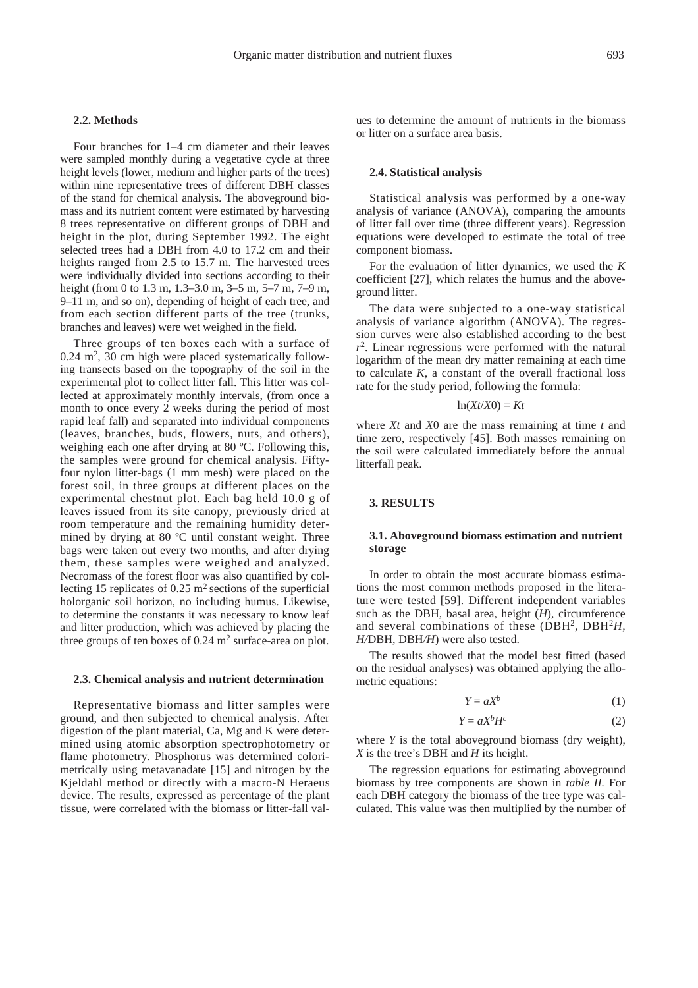## **2.2. Methods**

Four branches for 1–4 cm diameter and their leaves were sampled monthly during a vegetative cycle at three height levels (lower, medium and higher parts of the trees) within nine representative trees of different DBH classes of the stand for chemical analysis. The aboveground biomass and its nutrient content were estimated by harvesting 8 trees representative on different groups of DBH and height in the plot, during September 1992. The eight selected trees had a DBH from 4.0 to 17.2 cm and their heights ranged from 2.5 to 15.7 m. The harvested trees were individually divided into sections according to their height (from 0 to 1.3 m, 1.3–3.0 m, 3–5 m, 5–7 m, 7–9 m, 9–11 m, and so on), depending of height of each tree, and from each section different parts of the tree (trunks, branches and leaves) were wet weighed in the field.

Three groups of ten boxes each with a surface of  $0.24$  m<sup>2</sup>, 30 cm high were placed systematically following transects based on the topography of the soil in the experimental plot to collect litter fall. This litter was collected at approximately monthly intervals, (from once a month to once every 2 weeks during the period of most rapid leaf fall) and separated into individual components (leaves, branches, buds, flowers, nuts, and others), weighing each one after drying at 80 ºC. Following this, the samples were ground for chemical analysis. Fiftyfour nylon litter-bags (1 mm mesh) were placed on the forest soil, in three groups at different places on the experimental chestnut plot. Each bag held 10.0 g of leaves issued from its site canopy, previously dried at room temperature and the remaining humidity determined by drying at 80 ºC until constant weight. Three bags were taken out every two months, and after drying them, these samples were weighed and analyzed. Necromass of the forest floor was also quantified by collecting 15 replicates of  $0.25 \text{ m}^2$  sections of the superficial holorganic soil horizon, no including humus. Likewise, to determine the constants it was necessary to know leaf and litter production, which was achieved by placing the three groups of ten boxes of  $0.24 \text{ m}^2$  surface-area on plot.

#### **2.3. Chemical analysis and nutrient determination**

Representative biomass and litter samples were ground, and then subjected to chemical analysis. After digestion of the plant material, Ca, Mg and K were determined using atomic absorption spectrophotometry or flame photometry. Phosphorus was determined colorimetrically using metavanadate [15] and nitrogen by the Kjeldahl method or directly with a macro-N Heraeus device. The results, expressed as percentage of the plant tissue, were correlated with the biomass or litter-fall values to determine the amount of nutrients in the biomass or litter on a surface area basis.

## **2.4. Statistical analysis**

Statistical analysis was performed by a one-way analysis of variance (ANOVA), comparing the amounts of litter fall over time (three different years). Regression equations were developed to estimate the total of tree component biomass.

For the evaluation of litter dynamics, we used the *K* coefficient [27], which relates the humus and the aboveground litter.

The data were subjected to a one-way statistical analysis of variance algorithm (ANOVA). The regression curves were also established according to the best *r*2. Linear regressions were performed with the natural logarithm of the mean dry matter remaining at each time to calculate *K,* a constant of the overall fractional loss rate for the study period, following the formula:

#### $ln(Xt/X0) = Kt$

where *Xt* and *X*0 are the mass remaining at time *t* and time zero, respectively [45]. Both masses remaining on the soil were calculated immediately before the annual litterfall peak.

## **3. RESULTS**

## **3.1. Aboveground biomass estimation and nutrient storage**

In order to obtain the most accurate biomass estimations the most common methods proposed in the literature were tested [59]. Different independent variables such as the DBH, basal area, height  $(H)$ , circumference and several combinations of these (DBH2, DBH2*H, H/*DBH*,* DBH*/H*) were also tested.

The results showed that the model best fitted (based on the residual analyses) was obtained applying the allometric equations:

$$
Y = aX^b \tag{1}
$$

$$
Y = aX^b H^c \tag{2}
$$

where *Y* is the total aboveground biomass (dry weight), *X* is the tree's DBH and *H* its height.

The regression equations for estimating aboveground biomass by tree components are shown in *table II.* For each DBH category the biomass of the tree type was calculated. This value was then multiplied by the number of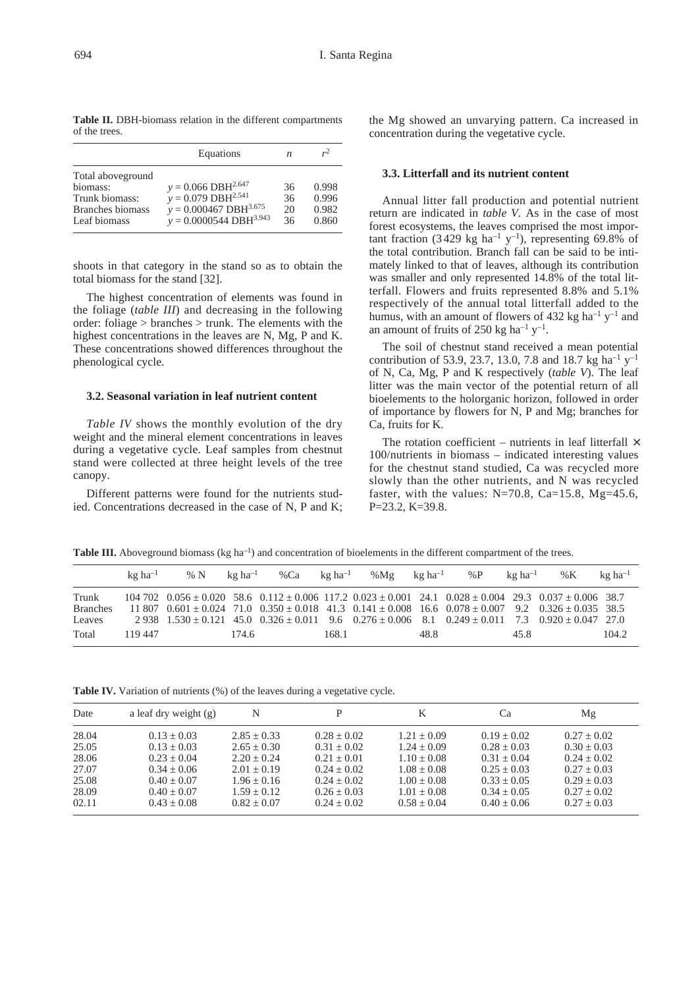| Table II. DBH-biomass relation in the different compartments |  |  |
|--------------------------------------------------------------|--|--|
| of the trees.                                                |  |  |

|                                                                                            | Equations                                                                                                                               | n                    | $r^2$                            |
|--------------------------------------------------------------------------------------------|-----------------------------------------------------------------------------------------------------------------------------------------|----------------------|----------------------------------|
| Total aboveground<br>biomass:<br>Trunk biomass:<br><b>Branches</b> biomass<br>Leaf biomass | $y = 0.066$ DBH <sup>2.647</sup><br>$y = 0.079$ DBH <sup>2.541</sup><br>$y = 0.000467$ DBH <sup>3.675</sup><br>$y = 0.0000544 DBH3.943$ | 36<br>36<br>20<br>36 | 0.998<br>0.996<br>0.982<br>0.860 |

shoots in that category in the stand so as to obtain the total biomass for the stand [32].

The highest concentration of elements was found in the foliage (*table III*) and decreasing in the following order: foliage > branches > trunk. The elements with the highest concentrations in the leaves are N, Mg, P and K. These concentrations showed differences throughout the phenological cycle.

## **3.2. Seasonal variation in leaf nutrient content**

*Table IV* shows the monthly evolution of the dry weight and the mineral element concentrations in leaves during a vegetative cycle. Leaf samples from chestnut stand were collected at three height levels of the tree canopy.

Different patterns were found for the nutrients studied. Concentrations decreased in the case of N, P and K; the Mg showed an unvarying pattern. Ca increased in concentration during the vegetative cycle.

#### **3.3. Litterfall and its nutrient content**

Annual litter fall production and potential nutrient return are indicated in *table V.* As in the case of most forest ecosystems, the leaves comprised the most important fraction (3429 kg ha<sup>-1</sup> y<sup>-1</sup>), representing 69.8% of the total contribution. Branch fall can be said to be intimately linked to that of leaves, although its contribution was smaller and only represented 14.8% of the total litterfall. Flowers and fruits represented 8.8% and 5.1% respectively of the annual total litterfall added to the humus, with an amount of flowers of 432 kg ha<sup>-1</sup> y<sup>-1</sup> and an amount of fruits of 250 kg ha<sup>-1</sup>  $y^{-1}$ .

The soil of chestnut stand received a mean potential contribution of 53.9, 23.7, 13.0, 7.8 and 18.7 kg ha<sup>-1</sup> y<sup>-1</sup> of N, Ca, Mg, P and K respectively (*table V*). The leaf litter was the main vector of the potential return of all bioelements to the holorganic horizon, followed in order of importance by flowers for N, P and Mg; branches for Ca, fruits for K.

The rotation coefficient – nutrients in leaf litterfall  $\times$ 100/nutrients in biomass – indicated interesting values for the chestnut stand studied, Ca was recycled more slowly than the other nutrients, and N was recycled faster, with the values:  $N=70.8$ , Ca=15.8, Mg=45.6, P=23.2, K=39.8.

**Table III.** Aboveground biomass (kg ha<sup>-1</sup>) and concentration of bioelements in the different compartment of the trees.

|                          | $k\sigma$ ha <sup>-1</sup> | % N | $k\mathfrak{g}$ ha <sup>-1</sup> | %Ca | $k\sigma$ ha <sup>-1</sup> | %Mg | $k\sigma$ ha <sup>-1</sup> | % $P$                                                                                                                                                                                                                                                                                                         | $k\sigma$ ha $^{-1}$ | % $K$ | $kg$ ha <sup>-1</sup> |
|--------------------------|----------------------------|-----|----------------------------------|-----|----------------------------|-----|----------------------------|---------------------------------------------------------------------------------------------------------------------------------------------------------------------------------------------------------------------------------------------------------------------------------------------------------------|----------------------|-------|-----------------------|
| Trunk<br><b>Branches</b> |                            |     |                                  |     |                            |     |                            | $104\ 702\quad 0.056 \pm 0.020\quad 58.6\quad 0.112 \pm 0.006\quad 117.2\quad 0.023 \pm 0.001\quad 24.1\quad 0.028 \pm 0.004\quad 29.3\quad 0.037 \pm 0.006\quad 38.7$<br>$11807$ $0.601 \pm 0.024$ $71.0$ $0.350 \pm 0.018$ $41.3$ $0.141 \pm 0.008$ $16.6$ $0.078 \pm 0.007$ $9.2$ $0.326 \pm 0.035$ $38.5$ |                      |       |                       |
| Leaves                   |                            |     |                                  |     |                            |     |                            | $2938$ $1.530 + 0.121$ $45.0$ $0.326 + 0.011$ $9.6$ $0.276 + 0.006$ $8.1$ $0.249 + 0.011$ $7.3$ $0.920 + 0.047$ $27.0$                                                                                                                                                                                        |                      |       |                       |
| Total                    | 119 447                    |     | 174.6                            |     | 168.1                      |     | 48.8                       |                                                                                                                                                                                                                                                                                                               | 45.8                 |       | 104.2                 |

**Table IV.** Variation of nutrients (%) of the leaves during a vegetative cycle.

| Date  | a leaf dry weight $(g)$ | N             |               | K             | Cа            | Mg            |
|-------|-------------------------|---------------|---------------|---------------|---------------|---------------|
| 28.04 | $0.13 + 0.03$           | $2.85 + 0.33$ | $0.28 + 0.02$ | $1.21 + 0.09$ | $0.19 + 0.02$ | $0.27 + 0.02$ |
| 25.05 | $0.13 + 0.03$           | $2.65 + 0.30$ | $0.31 + 0.02$ | $1.24 + 0.09$ | $0.28 + 0.03$ | $0.30 + 0.03$ |
| 28.06 | $0.23 + 0.04$           | $2.20 + 0.24$ | $0.21 + 0.01$ | $1.10 + 0.08$ | $0.31 + 0.04$ | $0.24 + 0.02$ |
| 27.07 | $0.34 + 0.06$           | $2.01 + 0.19$ | $0.24 + 0.02$ | $1.08 + 0.08$ | $0.25 + 0.03$ | $0.27 + 0.03$ |
| 25.08 | $0.40 + 0.07$           | $1.96 + 0.16$ | $0.24 + 0.02$ | $1.00 + 0.08$ | $0.33 + 0.05$ | $0.29 + 0.03$ |
| 28.09 | $0.40 + 0.07$           | $1.59 + 0.12$ | $0.26 + 0.03$ | $1.01 + 0.08$ | $0.34 + 0.05$ | $0.27 + 0.02$ |
| 02.11 | $0.43 + 0.08$           | $0.82 + 0.07$ | $0.24 + 0.02$ | $0.58 + 0.04$ | $0.40 + 0.06$ | $0.27 + 0.03$ |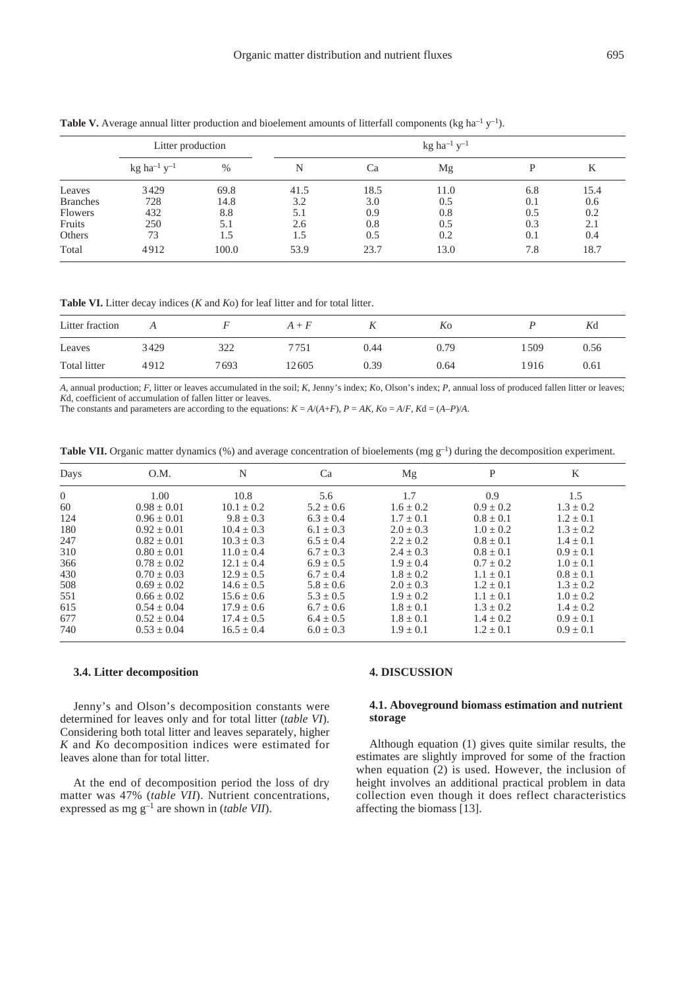|                 | Litter production                     |       |      |      | kg ha <sup>-1</sup> y <sup>-1</sup> |     |      |
|-----------------|---------------------------------------|-------|------|------|-------------------------------------|-----|------|
|                 | $kg$ ha <sup>-1</sup> y <sup>-1</sup> | $\%$  | N    | Ca   | Mg                                  |     | K    |
| Leaves          | 3429                                  | 69.8  | 41.5 | 18.5 | 11.0                                | 6.8 | 15.4 |
| <b>Branches</b> | 728                                   | 14.8  | 3.2  | 3.0  | 0.5                                 | 0.1 | 0.6  |
| <b>Flowers</b>  | 432                                   | 8.8   | 5.1  | 0.9  | 0.8                                 | 0.5 | 0.2  |
| Fruits          | 250                                   | 5.1   | 2.6  | 0.8  | 0.5                                 | 0.3 | 2.1  |
| Others          | 73                                    | 1.5   | 1.5  | 0.5  | 0.2                                 | 0.1 | 0.4  |
| Total           | 4912                                  | 100.0 | 53.9 | 23.7 | 13.0                                | 7.8 | 18.7 |

**Table V.** Average annual litter production and bioelement amounts of litterfall components (kg ha<sup>-1</sup> y<sup>-1</sup>).

**Table VI.** Litter decay indices (*K* and *K*o) for leaf litter and for total litter.

| Litter fraction |      |      | $A + F$ | 11   | Ko   |      | Kd   |
|-----------------|------|------|---------|------|------|------|------|
| Leaves          | 3429 | 322  | 7751    | 0.44 | 0.79 | 509ء | 0.56 |
| Total litter    | 4912 | 7693 | 12605   | 0.39 | 0.64 | 1916 | 0.61 |

*A,* annual production; *F,* litter or leaves accumulated in the soil; *K,* Jenny's index; *K*o, Olson's index; *P,* annual loss of produced fallen litter or leaves; *K*d, coefficient of accumulation of fallen litter or leaves.

The constants and parameters are according to the equations:  $K = A/(A+F)$ ,  $P = AK$ ,  $Ko = A/F$ ,  $Kd = (A-P)/A$ .

**Table VII.** Organic matter dynamics (%) and average concentration of bioelements (mg g<sup>-1</sup>) during the decomposition experiment.

| Days           | O.M.            | N              | Ca            | Mg            | P             | K             |
|----------------|-----------------|----------------|---------------|---------------|---------------|---------------|
| $\overline{0}$ | 1.00            | 10.8           | 5.6           | 1.7           | 0.9           | 1.5           |
| 60             | $0.98 + 0.01$   | $10.1 \pm 0.2$ | $5.2 \pm 0.6$ | $1.6 \pm 0.2$ | $0.9 \pm 0.2$ | $1.3 \pm 0.2$ |
| 124            | $0.96 + 0.01$   | $9.8 + 0.3$    | $6.3 \pm 0.4$ | $1.7 + 0.1$   | $0.8 \pm 0.1$ | $1.2 + 0.1$   |
| 180            | $0.92 + 0.01$   | $10.4 \pm 0.3$ | $6.1 + 0.3$   | $2.0 + 0.3$   | $1.0 + 0.2$   | $1.3 + 0.2$   |
| 247            | $0.82 + 0.01$   | $10.3 + 0.3$   | $6.5 + 0.4$   | $2.2 + 0.2$   | $0.8 + 0.1$   | $1.4 + 0.1$   |
| 310            | $0.80 + 0.01$   | $11.0 + 0.4$   | $6.7 \pm 0.3$ | $2.4 \pm 0.3$ | $0.8 \pm 0.1$ | $0.9 \pm 0.1$ |
| 366            | $0.78 + 0.02$   | $12.1 + 0.4$   | $6.9 + 0.5$   | $1.9 + 0.4$   | $0.7 + 0.2$   | $1.0 + 0.1$   |
| 430            | $0.70 \pm 0.03$ | $12.9 + 0.5$   | $6.7 + 0.4$   | $1.8 + 0.2$   | $1.1 + 0.1$   | $0.8 + 0.1$   |
| 508            | $0.69 + 0.02$   | $14.6 + 0.5$   | $5.8 \pm 0.6$ | $2.0 + 0.3$   | $1.2 + 0.1$   | $1.3 + 0.2$   |
| 551            | $0.66 + 0.02$   | $15.6 + 0.6$   | $5.3 \pm 0.5$ | $1.9 + 0.2$   | $1.1 + 0.1$   | $1.0 + 0.2$   |
| 615            | $0.54 + 0.04$   | $17.9 + 0.6$   | $6.7 \pm 0.6$ | $1.8 + 0.1$   | $1.3 \pm 0.2$ | $1.4 + 0.2$   |
| 677            | $0.52 + 0.04$   | $17.4 + 0.5$   | $6.4 + 0.5$   | $1.8 + 0.1$   | $1.4 + 0.2$   | $0.9 + 0.1$   |
| 740            | $0.53 \pm 0.04$ | $16.5 + 0.4$   | $6.0 \pm 0.3$ | $1.9 \pm 0.1$ | $1.2 \pm 0.1$ | $0.9 \pm 0.1$ |

#### **3.4. Litter decomposition**

Jenny's and Olson's decomposition constants were determined for leaves only and for total litter (*table VI*). Considering both total litter and leaves separately, higher *K* and *K*o decomposition indices were estimated for leaves alone than for total litter.

At the end of decomposition period the loss of dry matter was 47% (*table VII*). Nutrient concentrations, expressed as mg g–1 are shown in (*table VII*).

#### **4. DISCUSSION**

# **4.1. Aboveground biomass estimation and nutrient storage**

Although equation (1) gives quite similar results, the estimates are slightly improved for some of the fraction when equation (2) is used. However, the inclusion of height involves an additional practical problem in data collection even though it does reflect characteristics affecting the biomass [13].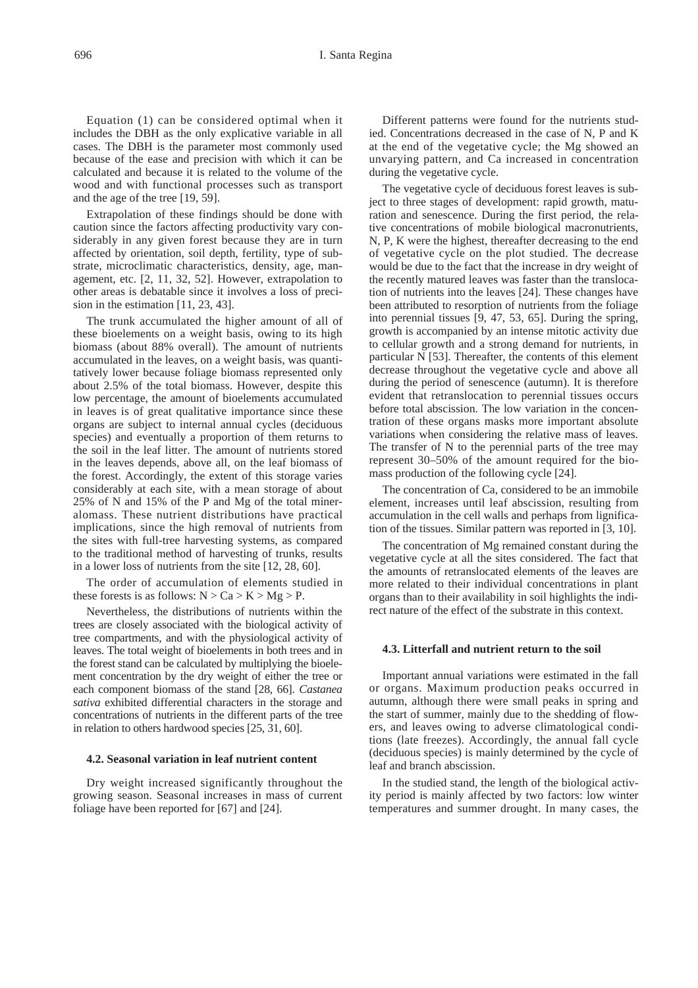Equation (1) can be considered optimal when it includes the DBH as the only explicative variable in all cases. The DBH is the parameter most commonly used because of the ease and precision with which it can be calculated and because it is related to the volume of the wood and with functional processes such as transport and the age of the tree [19, 59].

Extrapolation of these findings should be done with caution since the factors affecting productivity vary considerably in any given forest because they are in turn affected by orientation, soil depth, fertility, type of substrate, microclimatic characteristics, density, age, management, etc. [2, 11, 32, 52]. However, extrapolation to other areas is debatable since it involves a loss of precision in the estimation [11, 23, 43].

The trunk accumulated the higher amount of all of these bioelements on a weight basis, owing to its high biomass (about 88% overall). The amount of nutrients accumulated in the leaves, on a weight basis, was quantitatively lower because foliage biomass represented only about 2.5% of the total biomass. However, despite this low percentage, the amount of bioelements accumulated in leaves is of great qualitative importance since these organs are subject to internal annual cycles (deciduous species) and eventually a proportion of them returns to the soil in the leaf litter. The amount of nutrients stored in the leaves depends, above all, on the leaf biomass of the forest. Accordingly, the extent of this storage varies considerably at each site, with a mean storage of about 25% of N and 15% of the P and Mg of the total mineralomass. These nutrient distributions have practical implications, since the high removal of nutrients from the sites with full-tree harvesting systems, as compared to the traditional method of harvesting of trunks, results in a lower loss of nutrients from the site [12, 28, 60].

The order of accumulation of elements studied in these forests is as follows:  $N > Ca > K > Mg > P$ .

Nevertheless, the distributions of nutrients within the trees are closely associated with the biological activity of tree compartments, and with the physiological activity of leaves. The total weight of bioelements in both trees and in the forest stand can be calculated by multiplying the bioelement concentration by the dry weight of either the tree or each component biomass of the stand [28, 66]. *Castanea sativa* exhibited differential characters in the storage and concentrations of nutrients in the different parts of the tree in relation to others hardwood species [25, 31, 60].

#### **4.2. Seasonal variation in leaf nutrient content**

Dry weight increased significantly throughout the growing season. Seasonal increases in mass of current foliage have been reported for [67] and [24].

Different patterns were found for the nutrients studied. Concentrations decreased in the case of N, P and K at the end of the vegetative cycle; the Mg showed an unvarying pattern, and Ca increased in concentration during the vegetative cycle.

The vegetative cycle of deciduous forest leaves is subject to three stages of development: rapid growth, maturation and senescence. During the first period, the relative concentrations of mobile biological macronutrients, N, P, K were the highest, thereafter decreasing to the end of vegetative cycle on the plot studied. The decrease would be due to the fact that the increase in dry weight of the recently matured leaves was faster than the translocation of nutrients into the leaves [24]. These changes have been attributed to resorption of nutrients from the foliage into perennial tissues [9, 47, 53, 65]. During the spring, growth is accompanied by an intense mitotic activity due to cellular growth and a strong demand for nutrients, in particular N [53]. Thereafter, the contents of this element decrease throughout the vegetative cycle and above all during the period of senescence (autumn). It is therefore evident that retranslocation to perennial tissues occurs before total abscission. The low variation in the concentration of these organs masks more important absolute variations when considering the relative mass of leaves. The transfer of N to the perennial parts of the tree may represent 30–50% of the amount required for the biomass production of the following cycle [24].

The concentration of Ca, considered to be an immobile element, increases until leaf abscission, resulting from accumulation in the cell walls and perhaps from lignification of the tissues. Similar pattern was reported in [3, 10].

The concentration of Mg remained constant during the vegetative cycle at all the sites considered. The fact that the amounts of retranslocated elements of the leaves are more related to their individual concentrations in plant organs than to their availability in soil highlights the indirect nature of the effect of the substrate in this context.

## **4.3. Litterfall and nutrient return to the soil**

Important annual variations were estimated in the fall or organs. Maximum production peaks occurred in autumn, although there were small peaks in spring and the start of summer, mainly due to the shedding of flowers, and leaves owing to adverse climatological conditions (late freezes). Accordingly, the annual fall cycle (deciduous species) is mainly determined by the cycle of leaf and branch abscission.

In the studied stand, the length of the biological activity period is mainly affected by two factors: low winter temperatures and summer drought. In many cases, the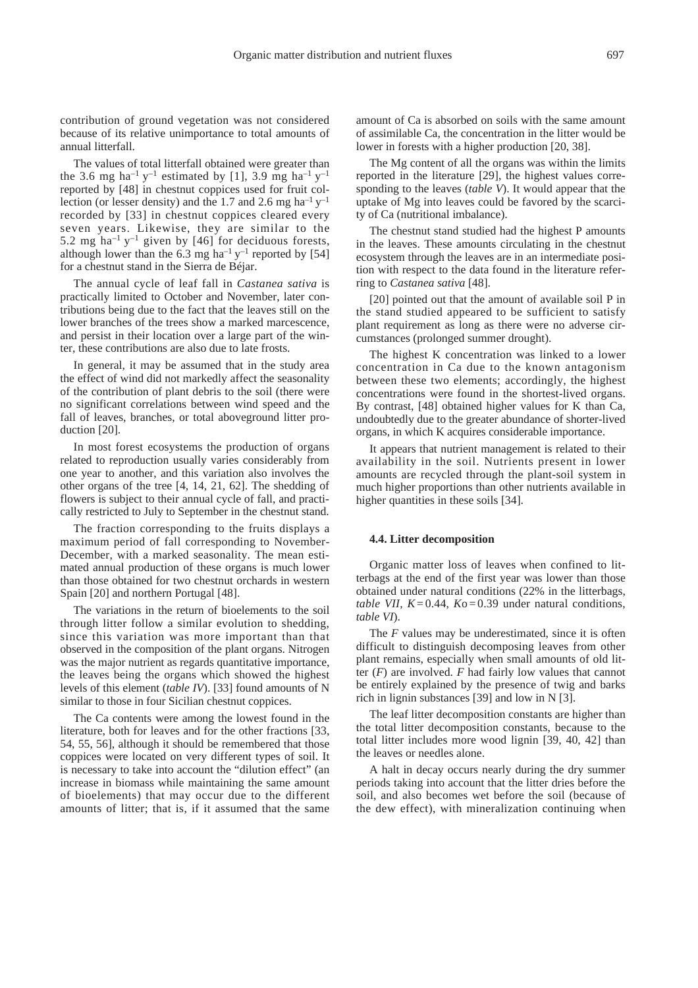contribution of ground vegetation was not considered because of its relative unimportance to total amounts of annual litterfall.

The values of total litterfall obtained were greater than the 3.6 mg ha<sup>-1</sup> y<sup>-1</sup> estimated by [1], 3.9 mg ha<sup>-1</sup> y<sup>-1</sup> reported by [48] in chestnut coppices used for fruit collection (or lesser density) and the 1.7 and 2.6 mg ha<sup>-1</sup>  $y$ <sup>-1</sup> recorded by [33] in chestnut coppices cleared every seven years. Likewise, they are similar to the 5.2 mg ha<sup>-1</sup> y<sup>-1</sup> given by [46] for deciduous forests, although lower than the 6.3 mg ha<sup>-1</sup> y<sup>-1</sup> reported by [54] for a chestnut stand in the Sierra de Béjar.

The annual cycle of leaf fall in *Castanea sativa* is practically limited to October and November, later contributions being due to the fact that the leaves still on the lower branches of the trees show a marked marcescence, and persist in their location over a large part of the winter, these contributions are also due to late frosts.

In general, it may be assumed that in the study area the effect of wind did not markedly affect the seasonality of the contribution of plant debris to the soil (there were no significant correlations between wind speed and the fall of leaves, branches, or total aboveground litter production [20].

In most forest ecosystems the production of organs related to reproduction usually varies considerably from one year to another, and this variation also involves the other organs of the tree [4, 14, 21, 62]. The shedding of flowers is subject to their annual cycle of fall, and practically restricted to July to September in the chestnut stand.

The fraction corresponding to the fruits displays a maximum period of fall corresponding to November-December, with a marked seasonality. The mean estimated annual production of these organs is much lower than those obtained for two chestnut orchards in western Spain [20] and northern Portugal [48].

The variations in the return of bioelements to the soil through litter follow a similar evolution to shedding, since this variation was more important than that observed in the composition of the plant organs. Nitrogen was the major nutrient as regards quantitative importance, the leaves being the organs which showed the highest levels of this element (*table IV*). [33] found amounts of N similar to those in four Sicilian chestnut coppices.

The Ca contents were among the lowest found in the literature, both for leaves and for the other fractions [33, 54, 55, 56], although it should be remembered that those coppices were located on very different types of soil. It is necessary to take into account the "dilution effect" (an increase in biomass while maintaining the same amount of bioelements) that may occur due to the different amounts of litter; that is, if it assumed that the same amount of Ca is absorbed on soils with the same amount of assimilable Ca, the concentration in the litter would be lower in forests with a higher production [20, 38].

The Mg content of all the organs was within the limits reported in the literature [29], the highest values corresponding to the leaves (*table V*). It would appear that the uptake of Mg into leaves could be favored by the scarcity of Ca (nutritional imbalance).

The chestnut stand studied had the highest P amounts in the leaves. These amounts circulating in the chestnut ecosystem through the leaves are in an intermediate position with respect to the data found in the literature referring to *Castanea sativa* [48].

[20] pointed out that the amount of available soil P in the stand studied appeared to be sufficient to satisfy plant requirement as long as there were no adverse circumstances (prolonged summer drought).

The highest K concentration was linked to a lower concentration in Ca due to the known antagonism between these two elements; accordingly, the highest concentrations were found in the shortest-lived organs. By contrast, [48] obtained higher values for K than Ca, undoubtedly due to the greater abundance of shorter-lived organs, in which K acquires considerable importance.

It appears that nutrient management is related to their availability in the soil. Nutrients present in lower amounts are recycled through the plant-soil system in much higher proportions than other nutrients available in higher quantities in these soils [34].

#### **4.4. Litter decomposition**

Organic matter loss of leaves when confined to litterbags at the end of the first year was lower than those obtained under natural conditions (22% in the litterbags, *table VII, K* = 0.44,  $Ko = 0.39$  under natural conditions, *table VI*).

The *F* values may be underestimated, since it is often difficult to distinguish decomposing leaves from other plant remains, especially when small amounts of old litter (*F*) are involved. *F* had fairly low values that cannot be entirely explained by the presence of twig and barks rich in lignin substances [39] and low in N [3].

The leaf litter decomposition constants are higher than the total litter decomposition constants, because to the total litter includes more wood lignin [39, 40, 42] than the leaves or needles alone.

A halt in decay occurs nearly during the dry summer periods taking into account that the litter dries before the soil, and also becomes wet before the soil (because of the dew effect), with mineralization continuing when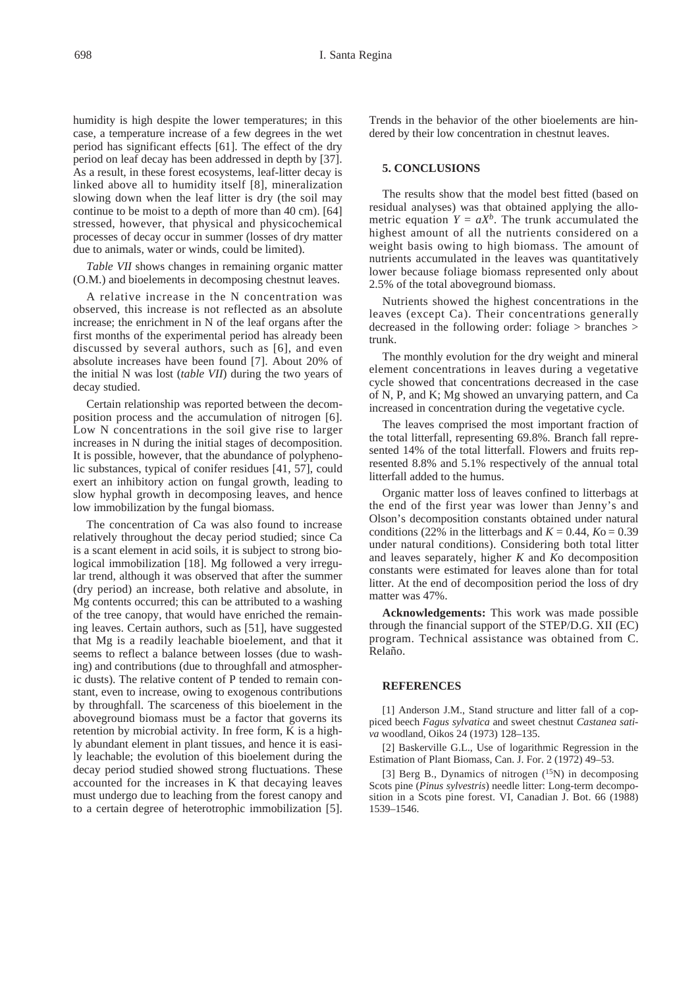humidity is high despite the lower temperatures; in this case, a temperature increase of a few degrees in the wet period has significant effects [61]. The effect of the dry period on leaf decay has been addressed in depth by [37]. As a result, in these forest ecosystems, leaf-litter decay is linked above all to humidity itself [8], mineralization slowing down when the leaf litter is dry (the soil may continue to be moist to a depth of more than 40 cm). [64] stressed, however, that physical and physicochemical processes of decay occur in summer (losses of dry matter due to animals, water or winds, could be limited).

*Table VII* shows changes in remaining organic matter (O.M.) and bioelements in decomposing chestnut leaves.

A relative increase in the N concentration was observed, this increase is not reflected as an absolute increase; the enrichment in N of the leaf organs after the first months of the experimental period has already been discussed by several authors, such as [6], and even absolute increases have been found [7]. About 20% of the initial N was lost (*table VII*) during the two years of decay studied.

Certain relationship was reported between the decomposition process and the accumulation of nitrogen [6]. Low N concentrations in the soil give rise to larger increases in N during the initial stages of decomposition. It is possible, however, that the abundance of polyphenolic substances, typical of conifer residues [41, 57], could exert an inhibitory action on fungal growth, leading to slow hyphal growth in decomposing leaves, and hence low immobilization by the fungal biomass.

The concentration of Ca was also found to increase relatively throughout the decay period studied; since Ca is a scant element in acid soils, it is subject to strong biological immobilization [18]. Mg followed a very irregular trend, although it was observed that after the summer (dry period) an increase, both relative and absolute, in Mg contents occurred; this can be attributed to a washing of the tree canopy, that would have enriched the remaining leaves. Certain authors, such as [51], have suggested that Mg is a readily leachable bioelement, and that it seems to reflect a balance between losses (due to washing) and contributions (due to throughfall and atmospheric dusts). The relative content of P tended to remain constant, even to increase, owing to exogenous contributions by throughfall. The scarceness of this bioelement in the aboveground biomass must be a factor that governs its retention by microbial activity. In free form, K is a highly abundant element in plant tissues, and hence it is easily leachable; the evolution of this bioelement during the decay period studied showed strong fluctuations. These accounted for the increases in K that decaying leaves must undergo due to leaching from the forest canopy and to a certain degree of heterotrophic immobilization [5]. Trends in the behavior of the other bioelements are hindered by their low concentration in chestnut leaves.

## **5. CONCLUSIONS**

The results show that the model best fitted (based on residual analyses) was that obtained applying the allometric equation  $Y = aX^b$ . The trunk accumulated the highest amount of all the nutrients considered on a weight basis owing to high biomass. The amount of nutrients accumulated in the leaves was quantitatively lower because foliage biomass represented only about 2.5% of the total aboveground biomass.

Nutrients showed the highest concentrations in the leaves (except Ca). Their concentrations generally decreased in the following order: foliage > branches > trunk.

The monthly evolution for the dry weight and mineral element concentrations in leaves during a vegetative cycle showed that concentrations decreased in the case of N, P, and K; Mg showed an unvarying pattern, and Ca increased in concentration during the vegetative cycle.

The leaves comprised the most important fraction of the total litterfall, representing 69.8%. Branch fall represented 14% of the total litterfall. Flowers and fruits represented 8.8% and 5.1% respectively of the annual total litterfall added to the humus.

Organic matter loss of leaves confined to litterbags at the end of the first year was lower than Jenny's and Olson's decomposition constants obtained under natural conditions (22% in the litterbags and  $K = 0.44$ ,  $K<sub>0</sub> = 0.39$ under natural conditions). Considering both total litter and leaves separately, higher *K* and *K*o decomposition constants were estimated for leaves alone than for total litter. At the end of decomposition period the loss of dry matter was 47%.

**Acknowledgements:** This work was made possible through the financial support of the STEP/D.G. XII (EC) program. Technical assistance was obtained from C. Relaño.

#### **REFERENCES**

[1] Anderson J.M., Stand structure and litter fall of a coppiced beech *Fagus sylvatica* and sweet chestnut *Castanea sativa* woodland, Oikos 24 (1973) 128–135.

[2] Baskerville G.L., Use of logarithmic Regression in the Estimation of Plant Biomass, Can. J. For. 2 (1972) 49–53.

[3] Berg B., Dynamics of nitrogen  $(^{15}N)$  in decomposing Scots pine (*Pinus sylvestris*) needle litter: Long-term decomposition in a Scots pine forest. VI, Canadian J. Bot. 66 (1988) 1539–1546.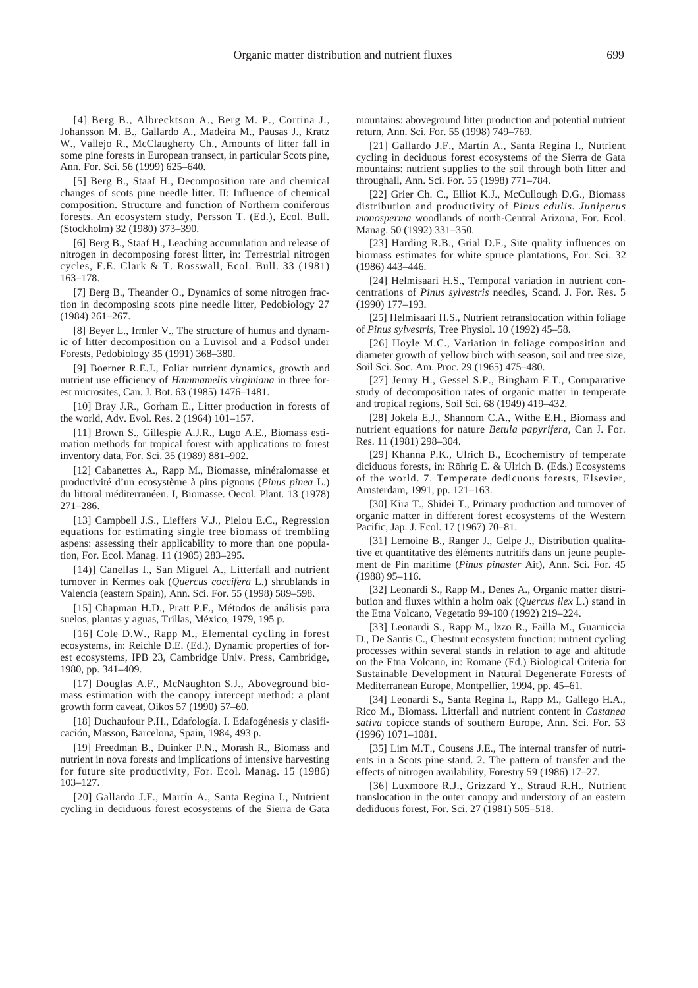[4] Berg B., Albrecktson A., Berg M. P., Cortina J., Johansson M. B., Gallardo A., Madeira M., Pausas J., Kratz W., Vallejo R., McClaugherty Ch., Amounts of litter fall in some pine forests in European transect, in particular Scots pine, Ann. For. Sci. 56 (1999) 625–640.

[5] Berg B., Staaf H., Decomposition rate and chemical changes of scots pine needle litter. II: Influence of chemical composition. Structure and function of Northern coniferous forests. An ecosystem study, Persson T. (Ed.), Ecol. Bull. (Stockholm) 32 (1980) 373–390.

[6] Berg B., Staaf H., Leaching accumulation and release of nitrogen in decomposing forest litter, in: Terrestrial nitrogen cycles, F.E. Clark & T. Rosswall, Ecol. Bull. 33 (1981) 163–178.

[7] Berg B., Theander O., Dynamics of some nitrogen fraction in decomposing scots pine needle litter, Pedobiology 27 (1984) 261–267.

[8] Beyer L., Irmler V., The structure of humus and dynamic of litter decomposition on a Luvisol and a Podsol under Forests, Pedobiology 35 (1991) 368–380.

[9] Boerner R.E.J., Foliar nutrient dynamics, growth and nutrient use efficiency of *Hammamelis virginiana* in three forest microsites, Can. J. Bot. 63 (1985) 1476–1481.

[10] Bray J.R., Gorham E., Litter production in forests of the world, Adv. Evol. Res. 2 (1964) 101–157.

[11] Brown S., Gillespie A.J.R., Lugo A.E., Biomass estimation methods for tropical forest with applications to forest inventory data, For. Sci. 35 (1989) 881–902.

[12] Cabanettes A., Rapp M., Biomasse, minéralomasse et productivité d'un ecosystème à pins pignons (*Pinus pinea* L.) du littoral méditerranéen. I, Biomasse. Oecol. Plant. 13 (1978) 271–286.

[13] Campbell J.S., Lieffers V.J., Pielou E.C., Regression equations for estimating single tree biomass of trembling aspens: assessing their applicability to more than one population, For. Ecol. Manag. 11 (1985) 283–295.

[14)] Canellas I., San Miguel A., Litterfall and nutrient turnover in Kermes oak (*Quercus coccifera* L.) shrublands in Valencia (eastern Spain), Ann. Sci. For. 55 (1998) 589–598.

[15] Chapman H.D., Pratt P.F., Métodos de análisis para suelos, plantas y aguas, Trillas, México, 1979, 195 p.

[16] Cole D.W., Rapp M., Elemental cycling in forest ecosystems, in: Reichle D.E. (Ed.), Dynamic properties of forest ecosystems, IPB 23, Cambridge Univ. Press, Cambridge, 1980, pp. 341–409.

[17] Douglas A.F., McNaughton S.J., Aboveground biomass estimation with the canopy intercept method: a plant growth form caveat, Oikos 57 (1990) 57–60.

[18] Duchaufour P.H., Edafología. I. Edafogénesis y clasificación, Masson, Barcelona, Spain, 1984, 493 p.

[19] Freedman B., Duinker P.N., Morash R., Biomass and nutrient in nova forests and implications of intensive harvesting for future site productivity, For. Ecol. Manag. 15 (1986) 103–127.

[20] Gallardo J.F., Martín A., Santa Regina I., Nutrient cycling in deciduous forest ecosystems of the Sierra de Gata mountains: aboveground litter production and potential nutrient return, Ann. Sci. For. 55 (1998) 749–769.

[21] Gallardo J.F., Martín A., Santa Regina I., Nutrient cycling in deciduous forest ecosystems of the Sierra de Gata mountains: nutrient supplies to the soil through both litter and throughall, Ann. Sci. For. 55 (1998) 771–784.

[22] Grier Ch. C., Elliot K.J., McCullough D.G., Biomass distribution and productivity of *Pinus edulis. Juniperus monosperma* woodlands of north-Central Arizona, For. Ecol. Manag. 50 (1992) 331–350.

[23] Harding R.B., Grial D.F., Site quality influences on biomass estimates for white spruce plantations, For. Sci. 32 (1986) 443–446.

[24] Helmisaari H.S., Temporal variation in nutrient concentrations of *Pinus sylvestris* needles, Scand. J. For. Res. 5 (1990) 177–193.

[25] Helmisaari H.S., Nutrient retranslocation within foliage of *Pinus sylvestris*, Tree Physiol. 10 (1992) 45–58.

[26] Hoyle M.C., Variation in foliage composition and diameter growth of yellow birch with season, soil and tree size, Soil Sci. Soc. Am. Proc. 29 (1965) 475–480.

[27] Jenny H., Gessel S.P., Bingham F.T., Comparative study of decomposition rates of organic matter in temperate and tropical regions, Soil Sci. 68 (1949) 419–432.

[28] Jokela E.J., Shannom C.A., Withe E.H., Biomass and nutrient equations for nature *Betula papyrifera,* Can J. For. Res. 11 (1981) 298–304.

[29] Khanna P.K., Ulrich B., Ecochemistry of temperate diciduous forests, in: Röhrig E. & Ulrich B. (Eds.) Ecosystems of the world. 7. Temperate dedicuous forests, Elsevier, Amsterdam, 1991, pp. 121–163.

[30] Kira T., Shidei T., Primary production and turnover of organic matter in different forest ecosystems of the Western Pacific, Jap. J. Ecol. 17 (1967) 70–81.

[31] Lemoine B., Ranger J., Gelpe J., Distribution qualitative et quantitative des éléments nutritifs dans un jeune peuplement de Pin maritime (*Pinus pinaster* Ait), Ann. Sci. For. 45 (1988) 95–116.

[32] Leonardi S., Rapp M., Denes A., Organic matter distribution and fluxes within a holm oak (*Quercus ilex* L.) stand in the Etna Volcano, Vegetatio 99-100 (1992) 219–224.

[33] Leonardi S., Rapp M., lzzo R., Failla M., Guarniccia D., De Santis C., Chestnut ecosystem function: nutrient cycling processes within several stands in relation to age and altitude on the Etna Volcano, in: Romane (Ed.) Biological Criteria for Sustainable Development in Natural Degenerate Forests of Mediterranean Europe, Montpellier, 1994, pp. 45–61.

[34] Leonardi S., Santa Regina I., Rapp M., Gallego H.A., Rico M., Biomass. Litterfall and nutrient content in *Castanea sativa* copicce stands of southern Europe, Ann. Sci. For. 53 (1996) 1071–1081.

[35] Lim M.T., Cousens J.E., The internal transfer of nutrients in a Scots pine stand. 2. The pattern of transfer and the effects of nitrogen availability, Forestry 59 (1986) 17–27.

[36] Luxmoore R.J., Grizzard Y., Straud R.H., Nutrient translocation in the outer canopy and understory of an eastern dediduous forest, For. Sci. 27 (1981) 505–518.